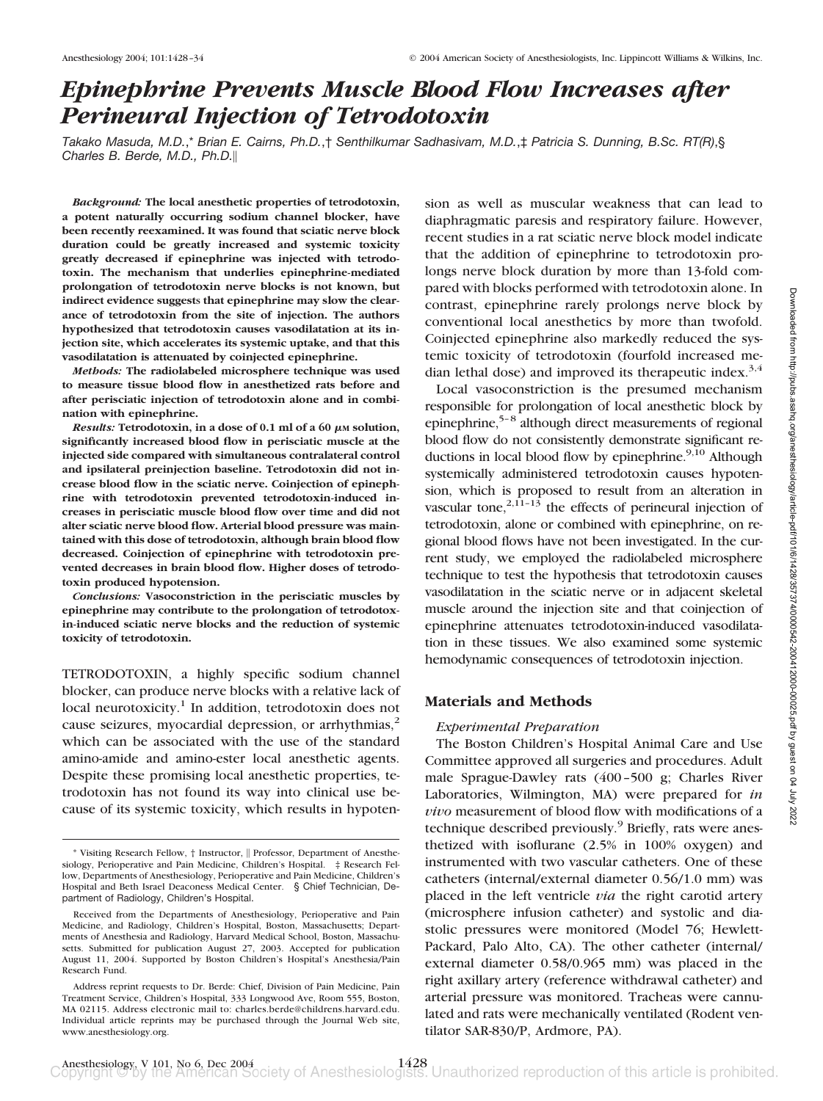# *Epinephrine Prevents Muscle Blood Flow Increases after Perineural Injection of Tetrodotoxin*

*Takako Masuda, M.D.*,\* *Brian E. Cairns, Ph.D.*,† *Senthilkumar Sadhasivam, M.D.*,‡ *Patricia S. Dunning, B.Sc. RT(R)*,§ *Charles B. Berde, M.D., Ph.D.*

*Background:* **The local anesthetic properties of tetrodotoxin, a potent naturally occurring sodium channel blocker, have been recently reexamined. It was found that sciatic nerve block duration could be greatly increased and systemic toxicity greatly decreased if epinephrine was injected with tetrodotoxin. The mechanism that underlies epinephrine-mediated prolongation of tetrodotoxin nerve blocks is not known, but indirect evidence suggest**s **that epinephrine may slow the clearance of tetrodotoxin from the site of injection. The authors hypothesized that tetrodotoxin causes vasodilatation at its injection site, which accelerates its systemic uptake, and that this vasodilatation is attenuated by coinjected epinephrine.**

*Methods:* **The radiolabeled microsphere technique was used to measure tissue blood flow in anesthetized rats before and after perisciatic injection of tetrodotoxin alone and in combination with epinephrine.**

*Results:* Tetrodotoxin, in a dose of 0.1 ml of a 60  $\mu$ M solution, **significantly increased blood flow in perisciatic muscle at the injected side compared with simultaneous contralateral control and ipsilateral preinjection baseline. Tetrodotoxin did not increase blood flow in the sciatic nerve. Coinjection of epinephrine with tetrodotoxin prevented tetrodotoxin-induced increases in perisciatic muscle blood flow over time and did not alter sciatic nerve blood flow. Arterial blood pressure was maintained with this dose of tetrodotoxin, although brain blood flow decreased. Coinjection of epinephrine with tetrodotoxin prevented decreases in brain blood flow. Higher doses of tetrodotoxin produced hypotension.**

*Conclusions:* **Vasoconstriction in the perisciatic muscles by epinephrine may contribute to the prolongation of tetrodotoxin-induced sciatic nerve blocks and the reduction of systemic toxicity of tetrodotoxin.**

TETRODOTOXIN, a highly specific sodium channel blocker, can produce nerve blocks with a relative lack of local neurotoxicity.<sup>1</sup> In addition, tetrodotoxin does not cause seizures, myocardial depression, or arrhythmias,<sup>2</sup> which can be associated with the use of the standard amino-amide and amino-ester local anesthetic agents. Despite these promising local anesthetic properties, tetrodotoxin has not found its way into clinical use because of its systemic toxicity, which results in hypotension as well as muscular weakness that can lead to diaphragmatic paresis and respiratory failure. However, recent studies in a rat sciatic nerve block model indicate that the addition of epinephrine to tetrodotoxin prolongs nerve block duration by more than 13-fold compared with blocks performed with tetrodotoxin alone. In contrast, epinephrine rarely prolongs nerve block by conventional local anesthetics by more than twofold. Coinjected epinephrine also markedly reduced the systemic toxicity of tetrodotoxin (fourfold increased median lethal dose) and improved its therapeutic index. $3,4$ 

Local vasoconstriction is the presumed mechanism responsible for prolongation of local anesthetic block by epinephrine,<sup>5–8</sup> although direct measurements of regional blood flow do not consistently demonstrate significant reductions in local blood flow by epinephrine.<sup>9,10</sup> Although systemically administered tetrodotoxin causes hypotension, which is proposed to result from an alteration in vascular tone, $^{2,11-13}$  the effects of perineural injection of tetrodotoxin, alone or combined with epinephrine, on regional blood flows have not been investigated. In the current study, we employed the radiolabeled microsphere technique to test the hypothesis that tetrodotoxin causes vasodilatation in the sciatic nerve or in adjacent skeletal muscle around the injection site and that coinjection of epinephrine attenuates tetrodotoxin-induced vasodilatation in these tissues. We also examined some systemic hemodynamic consequences of tetrodotoxin injection.

## **Materials and Methods**

# *Experimental Preparation*

The Boston Children's Hospital Animal Care and Use Committee approved all surgeries and procedures. Adult male Sprague-Dawley rats (400–500 g; Charles River Laboratories, Wilmington, MA) were prepared for *in vivo* measurement of blood flow with modifications of a technique described previously.<sup>9</sup> Briefly, rats were anesthetized with isoflurane (2.5% in 100% oxygen) and instrumented with two vascular catheters. One of these catheters (internal/external diameter 0.56/1.0 mm) was placed in the left ventricle *via* the right carotid artery (microsphere infusion catheter) and systolic and diastolic pressures were monitored (Model 76; Hewlett-Packard, Palo Alto, CA). The other catheter (internal/ external diameter 0.58/0.965 mm) was placed in the right axillary artery (reference withdrawal catheter) and arterial pressure was monitored. Tracheas were cannulated and rats were mechanically ventilated (Rodent ventilator SAR-830/P, Ardmore, PA).

<sup>\*</sup> Visiting Research Fellow, † Instructor, Professor, Department of Anesthesiology, Perioperative and Pain Medicine, Children's Hospital. ‡ Research Fellow, Departments of Anesthesiology, Perioperative and Pain Medicine, Children's Hospital and Beth Israel Deaconess Medical Center. § Chief Technician, Department of Radiology, Children's Hospital.

Received from the Departments of Anesthesiology, Perioperative and Pain Medicine, and Radiology, Children's Hospital, Boston, Massachusetts; Departments of Anesthesia and Radiology, Harvard Medical School, Boston, Massachusetts. Submitted for publication August 27, 2003. Accepted for publication August 11, 2004. Supported by Boston Children's Hospital's Anesthesia/Pain Research Fund.

Address reprint requests to Dr. Berde: Chief, Division of Pain Medicine, Pain Treatment Service, Children's Hospital, 333 Longwood Ave, Room 555, Boston, MA 02115. Address electronic mail to: charles.berde@childrens.harvard.edu. Individual article reprints may be purchased through the Journal Web site, www.anesthesiology.org.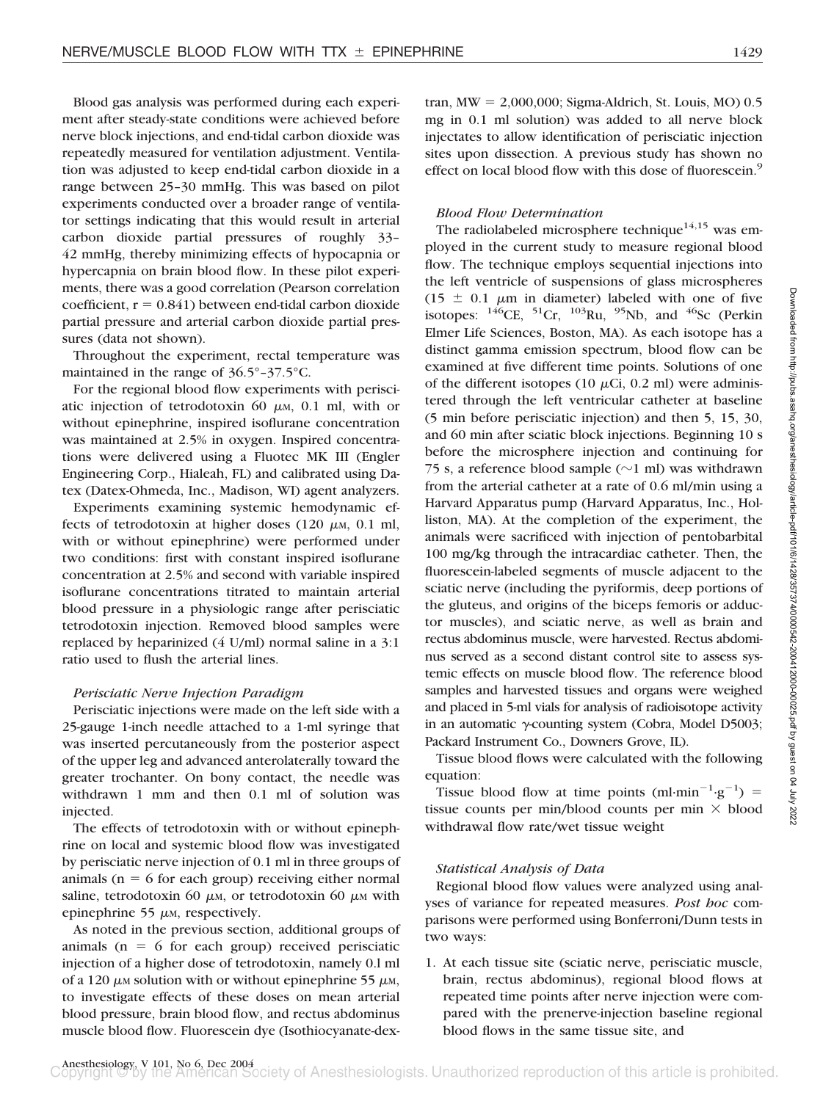Blood gas analysis was performed during each experiment after steady-state conditions were achieved before nerve block injections, and end-tidal carbon dioxide was repeatedly measured for ventilation adjustment. Ventilation was adjusted to keep end-tidal carbon dioxide in a range between 25–30 mmHg. This was based on pilot experiments conducted over a broader range of ventilator settings indicating that this would result in arterial carbon dioxide partial pressures of roughly 33– 42 mmHg, thereby minimizing effects of hypocapnia or hypercapnia on brain blood flow. In these pilot experiments, there was a good correlation (Pearson correlation coefficient,  $r = 0.841$ ) between end-tidal carbon dioxide partial pressure and arterial carbon dioxide partial pressures (data not shown).

Throughout the experiment, rectal temperature was maintained in the range of 36.5°–37.5°C.

For the regional blood flow experiments with perisciatic injection of tetrodotoxin 60  $\mu$ <sub>M</sub>, 0.1 ml, with or without epinephrine, inspired isoflurane concentration was maintained at 2.5% in oxygen. Inspired concentrations were delivered using a Fluotec MK III (Engler Engineering Corp., Hialeah, FL) and calibrated using Datex (Datex-Ohmeda, Inc., Madison, WI) agent analyzers.

Experiments examining systemic hemodynamic effects of tetrodotoxin at higher doses (120  $\mu$ M, 0.1 ml, with or without epinephrine) were performed under two conditions: first with constant inspired isoflurane concentration at 2.5% and second with variable inspired isoflurane concentrations titrated to maintain arterial blood pressure in a physiologic range after perisciatic tetrodotoxin injection. Removed blood samples were replaced by heparinized (4 U/ml) normal saline in a 3:1 ratio used to flush the arterial lines.

#### *Perisciatic Nerve Injection Paradigm*

Perisciatic injections were made on the left side with a 25-gauge 1-inch needle attached to a 1-ml syringe that was inserted percutaneously from the posterior aspect of the upper leg and advanced anterolaterally toward the greater trochanter. On bony contact, the needle was withdrawn 1 mm and then 0.1 ml of solution was injected.

The effects of tetrodotoxin with or without epinephrine on local and systemic blood flow was investigated by perisciatic nerve injection of 0.1 ml in three groups of animals ( $n = 6$  for each group) receiving either normal saline, tetrodotoxin 60  $\mu$ M, or tetrodotoxin 60  $\mu$ M with epinephrine 55  $\mu$ <sub>M</sub>, respectively.

As noted in the previous section, additional groups of animals ( $n = 6$  for each group) received perisciatic injection of a higher dose of tetrodotoxin, namely 0.l ml of a 120  $\mu$ M solution with or without epinephrine 55  $\mu$ M, to investigate effects of these doses on mean arterial blood pressure, brain blood flow, and rectus abdominus muscle blood flow. Fluorescein dye (Isothiocyanate-dextran,  $MW = 2,000,000$ ; Sigma-Aldrich, St. Louis, MO $) 0.5$ mg in 0.1 ml solution) was added to all nerve block injectates to allow identification of perisciatic injection sites upon dissection. A previous study has shown no effect on local blood flow with this dose of fluorescein.<sup>9</sup>

#### *Blood Flow Determination*

The radiolabeled microsphere technique<sup>14,15</sup> was employed in the current study to measure regional blood flow. The technique employs sequential injections into the left ventricle of suspensions of glass microspheres  $(15 \pm 0.1 \mu m)$  in diameter) labeled with one of five isotopes:  $^{146}$ CE,  $^{51}$ Cr,  $^{103}$ Ru,  $^{95}$ Nb, and  $^{46}$ Sc (Perkin Elmer Life Sciences, Boston, MA). As each isotope has a distinct gamma emission spectrum, blood flow can be examined at five different time points. Solutions of one of the different isotopes (10  $\mu$ Ci, 0.2 ml) were administered through the left ventricular catheter at baseline (5 min before perisciatic injection) and then 5, 15, 30, and 60 min after sciatic block injections. Beginning 10 s before the microsphere injection and continuing for 75 s, a reference blood sample  $(\sim)1$  ml) was withdrawn from the arterial catheter at a rate of 0.6 ml/min using a Harvard Apparatus pump (Harvard Apparatus, Inc., Holliston, MA). At the completion of the experiment, the animals were sacrificed with injection of pentobarbital 100 mg/kg through the intracardiac catheter. Then, the fluorescein-labeled segments of muscle adjacent to the sciatic nerve (including the pyriformis, deep portions of the gluteus, and origins of the biceps femoris or adductor muscles), and sciatic nerve, as well as brain and rectus abdominus muscle, were harvested. Rectus abdominus served as a second distant control site to assess systemic effects on muscle blood flow. The reference blood samples and harvested tissues and organs were weighed and placed in 5-ml vials for analysis of radioisotope activity in an automatic  $\gamma$ -counting system (Cobra, Model D5003; Packard Instrument Co., Downers Grove, IL).

Tissue blood flows were calculated with the following equation:

Tissue blood flow at time points  $(ml·min^{-1}·g^{-1})$  = tissue counts per min/blood counts per min  $\times$  blood withdrawal flow rate/wet tissue weight

#### *Statistical Analysis of Data*

Regional blood flow values were analyzed using analyses of variance for repeated measures. *Post hoc* comparisons were performed using Bonferroni/Dunn tests in two ways:

1. At each tissue site (sciatic nerve, perisciatic muscle, brain, rectus abdominus), regional blood flows at repeated time points after nerve injection were compared with the prenerve-injection baseline regional blood flows in the same tissue site, and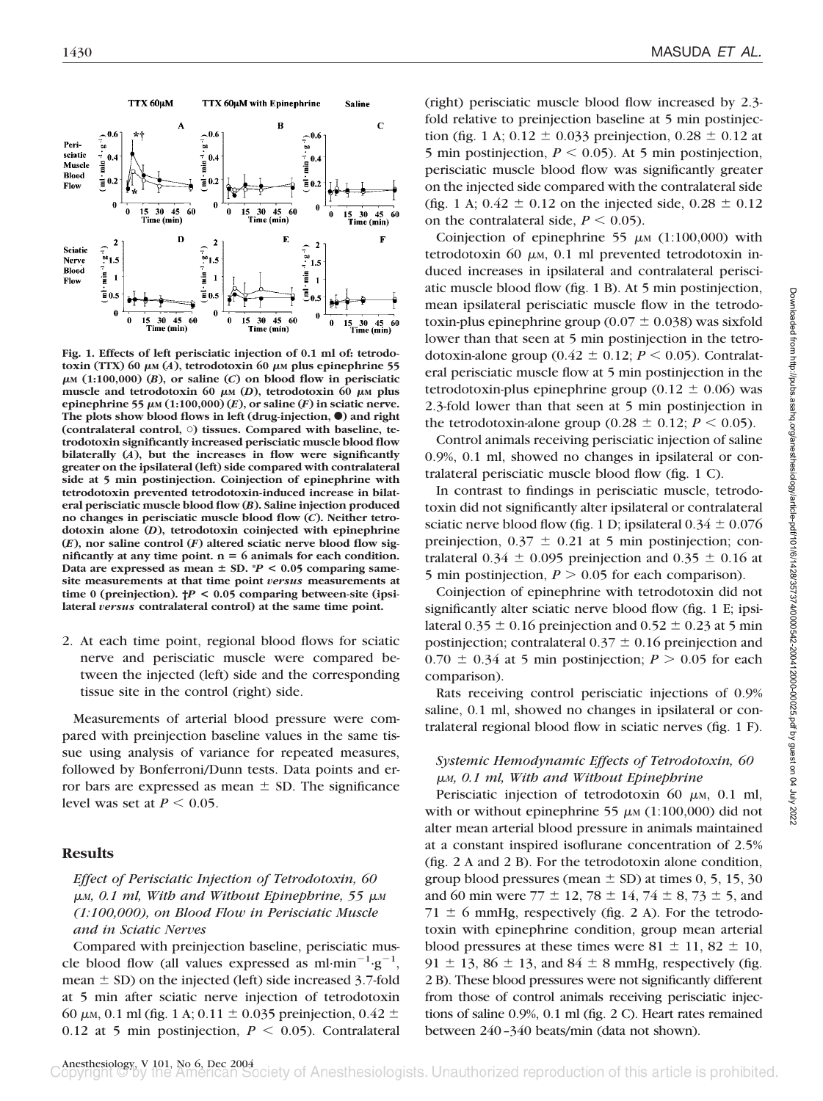

**Fig. 1. Effects of left perisciatic injection of 0.1 ml of: tetrodo**toxin (TTX) 60  $\mu$ M (*A*), tetrodotoxin 60  $\mu$ M plus epinephrine 55  $\mu$ M (1:100,000) (*B*), or saline (*C*) on blood flow in perisciatic muscle and tetrodotoxin 60  $\mu$ M (*D*), tetrodotoxin 60  $\mu$ M plus **epinephrine 55**  $\mu$ M (1:100,000) (*E*), or saline (*F*) in sciatic nerve. The plots show blood flows in left (drug-injection,  $\bullet$ ) and right (contralateral control,  $\circ$ ) tissues. Compared with baseline, te**trodotoxin significantly increased perisciatic muscle blood flow bilaterally (***A***), but the increases in flow were significantly greater on the ipsilateral (left) side compared with contralateral side at 5 min postinjection. Coinjection of epinephrine with tetrodotoxin prevented tetrodotoxin-induced increase in bilateral perisciatic muscle blood flow (***B***). Saline injection produced no changes in perisciatic muscle blood flow (***C***). Neither tetrodotoxin alone (***D***), tetrodotoxin coinjected with epinephrine (***E***), nor saline control (***F***) altered sciatic nerve blood flow sig** $n$  ificantly at any time point.  $n = 6$  animals for each condition. Data are expressed as mean  $\pm$  SD.  $\degree$ *P* < 0.05 comparing same**site measurements at that time point** *versus* **measurements at time 0 (preinjection). †***P* **< 0.05 comparing between-site (ipsilateral** *versus* **contralateral control) at the same time point.**

2. At each time point, regional blood flows for sciatic nerve and perisciatic muscle were compared between the injected (left) side and the corresponding tissue site in the control (right) side.

Measurements of arterial blood pressure were compared with preinjection baseline values in the same tissue using analysis of variance for repeated measures, followed by Bonferroni/Dunn tests. Data points and error bars are expressed as mean  $\pm$  SD. The significance level was set at  $P < 0.05$ .

#### **Results**

# *Effect of Perisciatic Injection of Tetrodotoxin, 60 M, 0.1 ml, With and Without Epinephrine, 55 <sup>M</sup> (1:100,000), on Blood Flow in Perisciatic Muscle and in Sciatic Nerves*

Compared with preinjection baseline, perisciatic muscle blood flow (all values expressed as  $ml·min^{-1}·g^{-1}$ , mean  $\pm$  SD) on the injected (left) side increased 3.7-fold at 5 min after sciatic nerve injection of tetrodotoxin 60  $\mu$ м, 0.1 ml (fig. 1 A; 0.11  $\pm$  0.035 preinjection, 0.42  $\pm$ 0.12 at 5 min postinjection,  $P \le 0.05$ ). Contralateral (right) perisciatic muscle blood flow increased by 2.3 fold relative to preinjection baseline at 5 min postinjection (fig. 1 A;  $0.12 \pm 0.033$  preinjection,  $0.28 \pm 0.12$  at 5 min postinjection,  $P \le 0.05$ ). At 5 min postinjection, perisciatic muscle blood flow was significantly greater on the injected side compared with the contralateral side (fig. 1 A;  $0.42 \pm 0.12$  on the injected side,  $0.28 \pm 0.12$ on the contralateral side,  $P \leq 0.05$ ).

Coinjection of epinephrine 55  $\mu$ M (1:100,000) with tetrodotoxin 60  $\mu$ M, 0.1 ml prevented tetrodotoxin induced increases in ipsilateral and contralateral perisciatic muscle blood flow (fig. 1 B). At 5 min postinjection, mean ipsilateral perisciatic muscle flow in the tetrodotoxin-plus epinephrine group  $(0.07 \pm 0.038)$  was sixfold lower than that seen at 5 min postinjection in the tetrodotoxin-alone group  $(0.42 \pm 0.12; P \le 0.05)$ . Contralateral perisciatic muscle flow at 5 min postinjection in the tetrodotoxin-plus epinephrine group  $(0.12 \pm 0.06)$  was 2.3-fold lower than that seen at 5 min postinjection in the tetrodotoxin-alone group  $(0.28 \pm 0.12; P \le 0.05)$ .

Control animals receiving perisciatic injection of saline 0.9%, 0.1 ml, showed no changes in ipsilateral or contralateral perisciatic muscle blood flow (fig. 1 C).

In contrast to findings in perisciatic muscle, tetrodotoxin did not significantly alter ipsilateral or contralateral sciatic nerve blood flow (fig. 1 D; ipsilateral  $0.34 \pm 0.076$ preinjection,  $0.37 \pm 0.21$  at 5 min postinjection; contralateral  $0.34 \pm 0.095$  preinjection and  $0.35 \pm 0.16$  at 5 min postinjection,  $P > 0.05$  for each comparison).

Coinjection of epinephrine with tetrodotoxin did not significantly alter sciatic nerve blood flow (fig. 1 E; ipsilateral  $0.35 \pm 0.16$  preinjection and  $0.52 \pm 0.23$  at 5 min postinjection; contralateral  $0.37 \pm 0.16$  preinjection and  $0.70 \pm 0.34$  at 5 min postinjection;  $P > 0.05$  for each comparison).

Rats receiving control perisciatic injections of 0.9% saline, 0.1 ml, showed no changes in ipsilateral or contralateral regional blood flow in sciatic nerves (fig. 1 F).

## *Systemic Hemodynamic Effects of Tetrodotoxin, 60 M, 0.1 ml, With and Without Epinephrine*

Perisciatic injection of tetrodotoxin 60  $\mu$ M, 0.1 ml, with or without epinephrine 55  $\mu$ M (1:100,000) did not alter mean arterial blood pressure in animals maintained at a constant inspired isoflurane concentration of 2.5% (fig. 2 A and 2 B). For the tetrodotoxin alone condition, group blood pressures (mean  $\pm$  SD) at times 0, 5, 15, 30 and 60 min were  $77 \pm 12$ ,  $78 \pm 14$ ,  $74 \pm 8$ ,  $73 \pm 5$ , and  $71 \pm 6$  mmHg, respectively (fig. 2 A). For the tetrodotoxin with epinephrine condition, group mean arterial blood pressures at these times were  $81 \pm 11$ ,  $82 \pm 10$ ,  $91 \pm 13$ ,  $86 \pm 13$ , and  $84 \pm 8$  mmHg, respectively (fig. 2 B). These blood pressures were not significantly different from those of control animals receiving perisciatic injections of saline 0.9%, 0.1 ml (fig. 2 C). Heart rates remained between 240–340 beats/min (data not shown).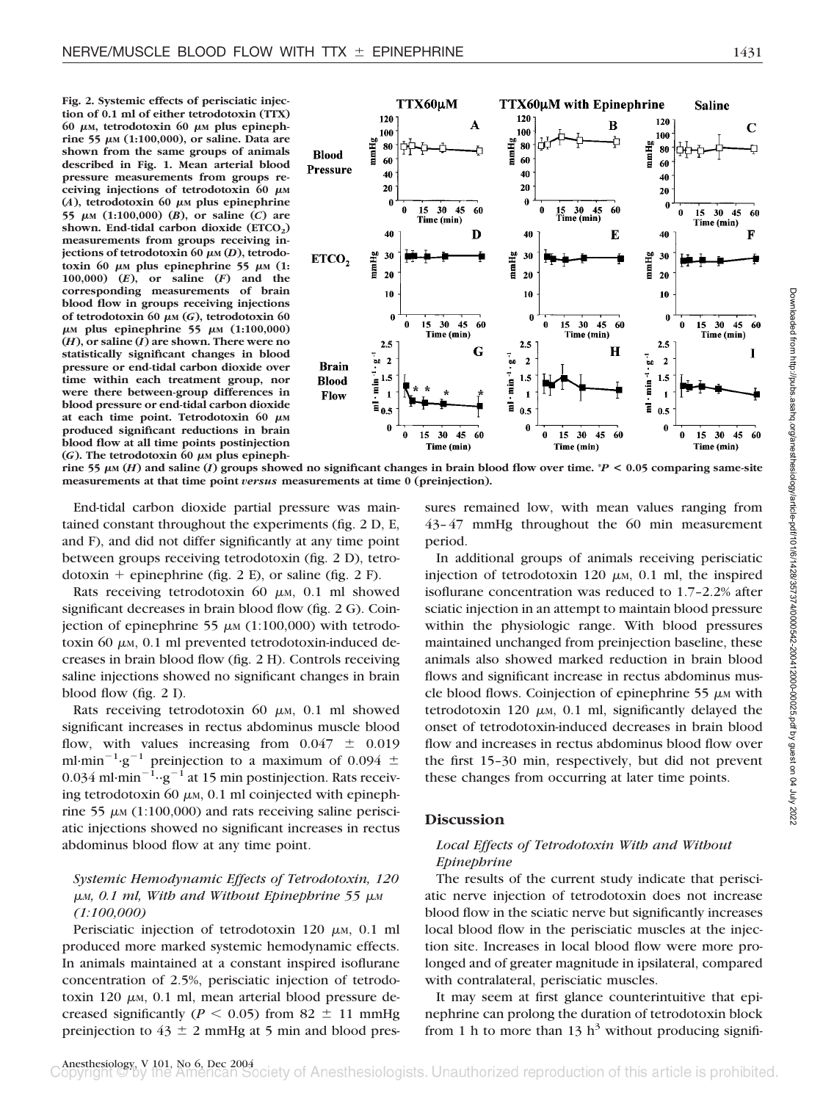**Fig. 2. Systemic effects of perisciatic injection of 0.1 ml of either tetrodotoxin (TTX) 60 M, tetrodotoxin 60 M plus epinephrine 55 M (1:100,000), or saline. Data are shown from the same groups of animals described in Fig. 1. Mean arterial blood pressure measurements from groups re**ceiving injections of tetrodotoxin 60  $\mu$ M  $(A)$ , tetrodotoxin 60  $\mu$ <sub>M</sub> plus epinephrine 55  $\mu$ **M** (1:100,000) (*B*), or saline (*C*) are shown. End-tidal carbon dioxide (ETCO<sub>2</sub>) **measurements from groups receiving injections of tetrodotoxin 60**  $\mu$ <sub>M</sub>  $(D)$ , tetrodo- $\text{to}\$  **toxin** 60  $\mu$ **M** plus epinephrine 55  $\mu$ M (1: **100,000) (***E***), or saline (***F***) and the corresponding measurements of brain blood flow in groups receiving injections** of tetrodotoxin 60  $\mu$ <sub>M</sub> (*G*), tetrodotoxin 60  $\mu$ M plus epinephrine 55  $\mu$ M  $(1:100,000)$ **(***H***), or saline (***I***) are shown. There were no statistically significant changes in blood pressure or end-tidal carbon dioxide over time within each treatment group, nor were there between-group differences in blood pressure or end-tidal carbon dioxide** at each time point. Tetrodotoxin 60  $\mu$ M **produced significant reductions in brain blood flow at all time points postinjection**  $(G)$ . The tetrodotoxin 60  $\mu$ <sub>M</sub> plus epineph-



rine 55  $\mu$ M (*H*) and saline (*I*) groups showed no significant changes in brain blood flow over time. \**P* < 0.05 comparing same-site **measurements at that time point** *versus* **measurements at time 0 (preinjection).**

End-tidal carbon dioxide partial pressure was maintained constant throughout the experiments (fig. 2 D, E, and F), and did not differ significantly at any time point between groups receiving tetrodotoxin (fig. 2 D), tetrodotoxin  $+$  epinephrine (fig. 2 E), or saline (fig. 2 F).

Rats receiving tetrodotoxin 60  $\mu$ M, 0.1 ml showed significant decreases in brain blood flow (fig. 2 G). Coinjection of epinephrine 55  $\mu$ M (1:100,000) with tetrodotoxin 60  $\mu$ M, 0.1 ml prevented tetrodotoxin-induced decreases in brain blood flow (fig. 2 H). Controls receiving saline injections showed no significant changes in brain blood flow (fig. 2 I).

Rats receiving tetrodotoxin 60  $\mu$ M, 0.1 ml showed significant increases in rectus abdominus muscle blood flow, with values increasing from  $0.047 \pm 0.019$ ml·min<sup>-1</sup>·g<sup>-1</sup> preinjection to a maximum of 0.094  $\pm$ 0.034 ml·min $\frac{-1}{\cdot}$  at 15 min postinjection. Rats receiving tetrodotoxin 60  $\mu$ <sub>M</sub>, 0.1 ml coinjected with epinephrine 55  $\mu$ <sub>M</sub> (1:100,000) and rats receiving saline perisciatic injections showed no significant increases in rectus abdominus blood flow at any time point.

## *Systemic Hemodynamic Effects of Tetrodotoxin, 120 M, 0.1 ml, With and Without Epinephrine 55 <sup>M</sup> (1:100,000)*

Perisciatic injection of tetrodotoxin 120  $\mu$ M, 0.1 ml produced more marked systemic hemodynamic effects. In animals maintained at a constant inspired isoflurane concentration of 2.5%, perisciatic injection of tetrodotoxin 120  $\mu$ <sub>M</sub>, 0.1 ml, mean arterial blood pressure decreased significantly ( $P < 0.05$ ) from 82  $\pm$  11 mmHg preinjection to  $43 \pm 2$  mmHg at 5 min and blood pressures remained low, with mean values ranging from 43–47 mmHg throughout the 60 min measurement period.

In additional groups of animals receiving perisciatic injection of tetrodotoxin 120  $\mu$ M, 0.1 ml, the inspired isoflurane concentration was reduced to 1.7–2.2% after sciatic injection in an attempt to maintain blood pressure within the physiologic range. With blood pressures maintained unchanged from preinjection baseline, these animals also showed marked reduction in brain blood flows and significant increase in rectus abdominus muscle blood flows. Coinjection of epinephrine  $55 \mu m$  with tetrodotoxin 120  $\mu$ <sub>M</sub>, 0.1 ml, significantly delayed the onset of tetrodotoxin-induced decreases in brain blood flow and increases in rectus abdominus blood flow over the first 15–30 min, respectively, but did not prevent these changes from occurring at later time points.

#### **Discussion**

## *Local Effects of Tetrodotoxin With and Without Epinephrine*

The results of the current study indicate that perisciatic nerve injection of tetrodotoxin does not increase blood flow in the sciatic nerve but significantly increases local blood flow in the perisciatic muscles at the injection site. Increases in local blood flow were more prolonged and of greater magnitude in ipsilateral, compared with contralateral, perisciatic muscles.

It may seem at first glance counterintuitive that epinephrine can prolong the duration of tetrodotoxin block from 1 h to more than 13  $h^3$  without producing signifi-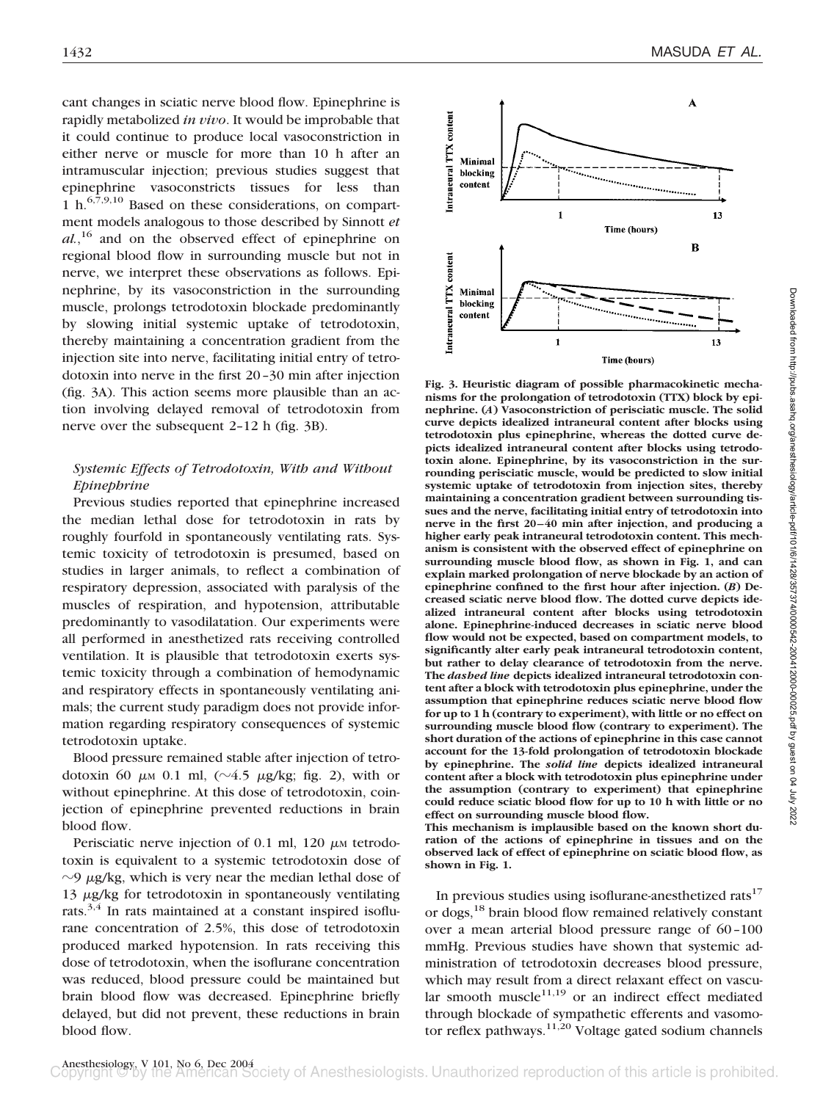cant changes in sciatic nerve blood flow. Epinephrine is rapidly metabolized *in vivo*. It would be improbable that it could continue to produce local vasoconstriction in either nerve or muscle for more than 10 h after an intramuscular injection; previous studies suggest that epinephrine vasoconstricts tissues for less than 1 h.6,7,9,10 Based on these considerations, on compartment models analogous to those described by Sinnott *et al.*, <sup>16</sup> and on the observed effect of epinephrine on regional blood flow in surrounding muscle but not in nerve, we interpret these observations as follows. Epinephrine, by its vasoconstriction in the surrounding muscle, prolongs tetrodotoxin blockade predominantly by slowing initial systemic uptake of tetrodotoxin, thereby maintaining a concentration gradient from the injection site into nerve, facilitating initial entry of tetrodotoxin into nerve in the first 20–30 min after injection (fig. 3A). This action seems more plausible than an action involving delayed removal of tetrodotoxin from nerve over the subsequent 2–12 h (fig. 3B).

## *Systemic Effects of Tetrodotoxin, With and Without Epinephrine*

Previous studies reported that epinephrine increased the median lethal dose for tetrodotoxin in rats by roughly fourfold in spontaneously ventilating rats. Systemic toxicity of tetrodotoxin is presumed, based on studies in larger animals, to reflect a combination of respiratory depression, associated with paralysis of the muscles of respiration, and hypotension, attributable predominantly to vasodilatation. Our experiments were all performed in anesthetized rats receiving controlled ventilation. It is plausible that tetrodotoxin exerts systemic toxicity through a combination of hemodynamic and respiratory effects in spontaneously ventilating animals; the current study paradigm does not provide information regarding respiratory consequences of systemic tetrodotoxin uptake.

Blood pressure remained stable after injection of tetrodotoxin 60  $\mu$ M 0.1 ml, ( $\sim$ 4.5  $\mu$ g/kg; fig. 2), with or without epinephrine. At this dose of tetrodotoxin, coinjection of epinephrine prevented reductions in brain blood flow.

Perisciatic nerve injection of 0.1 ml, 120  $\mu$ M tetrodotoxin is equivalent to a systemic tetrodotoxin dose of  $\sim$ 9  $\mu$ g/kg, which is very near the median lethal dose of  $13 \mu g/kg$  for tetrodotoxin in spontaneously ventilating rats. $3,4$  In rats maintained at a constant inspired isoflurane concentration of 2.5%, this dose of tetrodotoxin produced marked hypotension. In rats receiving this dose of tetrodotoxin, when the isoflurane concentration was reduced, blood pressure could be maintained but brain blood flow was decreased. Epinephrine briefly delayed, but did not prevent, these reductions in brain blood flow.



**Fig. 3. Heuristic diagram of possible pharmacokinetic mechanisms for the prolongation of tetrodotoxin (TTX) block by epinephrine. (***A***) Vasoconstriction of perisciatic muscle. The solid curve depicts idealized intraneural content after blocks using tetrodotoxin plus epinephrine, whereas the dotted curve depicts idealized intraneural content after blocks using tetrodotoxin alone. Epinephrine, by its vasoconstriction in the surrounding perisciatic muscle, would be predicted to slow initial systemic uptake of tetrodotoxin from injection sites, thereby maintaining a concentration gradient between surrounding tissues and the nerve, facilitating initial entry of tetrodotoxin into nerve in the first 20 – 40 min after injection, and producing a higher early peak intraneural tetrodotoxin content. This mechanism is consistent with the observed effect of epinephrine on surrounding muscle blood flow, as shown in Fig. 1, and can explain marked prolongation of nerve blockade by an action of epinephrine confined to the first hour after injection. (***B***) Decreased sciatic nerve blood flow. The dotted curve depicts idealized intraneural content after blocks using tetrodotoxin alone. Epinephrine-induced decreases in sciatic nerve blood flow would not be expected, based on compartment models, to significantly alter early peak intraneural tetrodotoxin content, but rather to delay clearance of tetrodotoxin from the nerve. The** *dashed line* **depicts idealized intraneural tetrodotoxin content after a block with tetrodotoxin plus epinephrine, under the assumption that epinephrine reduces sciatic nerve blood flow for up to 1 h (contrary to experiment), with little or no effect on surrounding muscle blood flow (contrary to experiment). The short duration of the actions of epinephrine in this case cannot account for the 13-fold prolongation of tetrodotoxin blockade by epinephrine. The** *solid line* **depicts idealized intraneural content after a block with tetrodotoxin plus epinephrine under the assumption (contrary to experiment) that epinephrine could reduce sciatic blood flow for up to 10 h with little or no effect on surrounding muscle blood flow.**

**This mechanism is implausible based on the known short duration of the actions of epinephrine in tissues and on the observed lack of effect of epinephrine on sciatic blood flow, as shown in Fig. 1.**

In previous studies using isoflurane-anesthetized rats $17$ or dogs,18 brain blood flow remained relatively constant over a mean arterial blood pressure range of 60–100 mmHg. Previous studies have shown that systemic administration of tetrodotoxin decreases blood pressure, which may result from a direct relaxant effect on vascular smooth muscle $11,19$  or an indirect effect mediated through blockade of sympathetic efferents and vasomotor reflex pathways.<sup>11,20</sup> Voltage gated sodium channels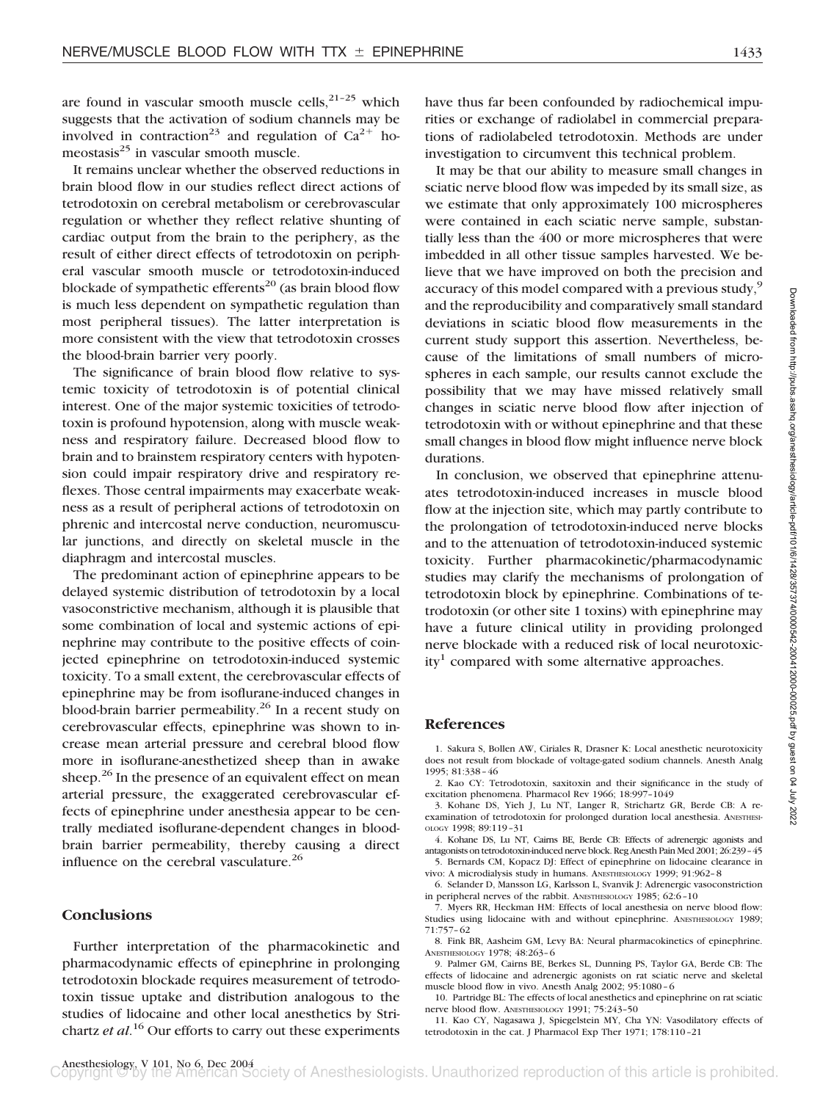are found in vascular smooth muscle cells, $2^{1-25}$  which suggests that the activation of sodium channels may be involved in contraction<sup>23</sup> and regulation of  $Ca^{2+}$  homeostasis $^{25}$  in vascular smooth muscle.

It remains unclear whether the observed reductions in brain blood flow in our studies reflect direct actions of tetrodotoxin on cerebral metabolism or cerebrovascular regulation or whether they reflect relative shunting of cardiac output from the brain to the periphery, as the result of either direct effects of tetrodotoxin on peripheral vascular smooth muscle or tetrodotoxin-induced blockade of sympathetic efferents<sup>20</sup> (as brain blood flow is much less dependent on sympathetic regulation than most peripheral tissues). The latter interpretation is more consistent with the view that tetrodotoxin crosses the blood-brain barrier very poorly.

The significance of brain blood flow relative to systemic toxicity of tetrodotoxin is of potential clinical interest. One of the major systemic toxicities of tetrodotoxin is profound hypotension, along with muscle weakness and respiratory failure. Decreased blood flow to brain and to brainstem respiratory centers with hypotension could impair respiratory drive and respiratory reflexes. Those central impairments may exacerbate weakness as a result of peripheral actions of tetrodotoxin on phrenic and intercostal nerve conduction, neuromuscular junctions, and directly on skeletal muscle in the diaphragm and intercostal muscles.

The predominant action of epinephrine appears to be delayed systemic distribution of tetrodotoxin by a local vasoconstrictive mechanism, although it is plausible that some combination of local and systemic actions of epinephrine may contribute to the positive effects of coinjected epinephrine on tetrodotoxin-induced systemic toxicity. To a small extent, the cerebrovascular effects of epinephrine may be from isoflurane-induced changes in blood-brain barrier permeability.26 In a recent study on cerebrovascular effects, epinephrine was shown to increase mean arterial pressure and cerebral blood flow more in isoflurane-anesthetized sheep than in awake sheep.<sup>26</sup> In the presence of an equivalent effect on mean arterial pressure, the exaggerated cerebrovascular effects of epinephrine under anesthesia appear to be centrally mediated isoflurane-dependent changes in bloodbrain barrier permeability, thereby causing a direct influence on the cerebral vasculature.<sup>26</sup>

## **Conclusions**

Further interpretation of the pharmacokinetic and pharmacodynamic effects of epinephrine in prolonging tetrodotoxin blockade requires measurement of tetrodotoxin tissue uptake and distribution analogous to the studies of lidocaine and other local anesthetics by Strichartz *et al*. <sup>16</sup> Our efforts to carry out these experiments

have thus far been confounded by radiochemical impurities or exchange of radiolabel in commercial preparations of radiolabeled tetrodotoxin. Methods are under investigation to circumvent this technical problem.

It may be that our ability to measure small changes in sciatic nerve blood flow was impeded by its small size, as we estimate that only approximately 100 microspheres were contained in each sciatic nerve sample, substantially less than the 400 or more microspheres that were imbedded in all other tissue samples harvested. We believe that we have improved on both the precision and accuracy of this model compared with a previous study,<sup>9</sup> and the reproducibility and comparatively small standard deviations in sciatic blood flow measurements in the current study support this assertion. Nevertheless, because of the limitations of small numbers of microspheres in each sample, our results cannot exclude the possibility that we may have missed relatively small changes in sciatic nerve blood flow after injection of tetrodotoxin with or without epinephrine and that these small changes in blood flow might influence nerve block durations.

In conclusion, we observed that epinephrine attenuates tetrodotoxin-induced increases in muscle blood flow at the injection site, which may partly contribute to the prolongation of tetrodotoxin-induced nerve blocks and to the attenuation of tetrodotoxin-induced systemic toxicity. Further pharmacokinetic/pharmacodynamic studies may clarify the mechanisms of prolongation of tetrodotoxin block by epinephrine. Combinations of tetrodotoxin (or other site 1 toxins) with epinephrine may have a future clinical utility in providing prolonged nerve blockade with a reduced risk of local neurotoxic $ity<sup>1</sup>$  compared with some alternative approaches.

#### **References**

1. Sakura S, Bollen AW, Ciriales R, Drasner K: Local anesthetic neurotoxicity does not result from blockade of voltage-gated sodium channels. Anesth Analg 1995; 81:338–46

2. Kao CY: Tetrodotoxin, saxitoxin and their significance in the study of excitation phenomena. Pharmacol Rev 1966; 18:997–1049

3. Kohane DS, Yieh J, Lu NT, Langer R, Strichartz GR, Berde CB: A reexamination of tetrodotoxin for prolonged duration local anesthesia. ANESTHESI-OLOGY 1998; 89:119–31

4. Kohane DS, Lu NT, Cairns BE, Berde CB: Effects of adrenergic agonists and antagonists on tetrodotoxin-induced nerve block. Reg Anesth Pain Med 2001; 26:239–45

5. Bernards CM, Kopacz DJ: Effect of epinephrine on lidocaine clearance in vivo: A microdialysis study in humans. ANESTHESIOLOGY 1999; 91:962–8

6. Selander D, Mansson LG, Karlsson L, Svanvik J: Adrenergic vasoconstriction in peripheral nerves of the rabbit. ANESTHESIOLOGY 1985; 62:6–10

7. Myers RR, Heckman HM: Effects of local anesthesia on nerve blood flow: Studies using lidocaine with and without epinephrine. ANESTHESIOLOGY 1989; 71:757–62

8. Fink BR, Aasheim GM, Levy BA: Neural pharmacokinetics of epinephrine. ANESTHESIOLOGY 1978; 48:263–6

9. Palmer GM, Cairns BE, Berkes SL, Dunning PS, Taylor GA, Berde CB: The effects of lidocaine and adrenergic agonists on rat sciatic nerve and skeletal muscle blood flow in vivo. Anesth Analg 2002; 95:1080–6

10. Partridge BL: The effects of local anesthetics and epinephrine on rat sciatic nerve blood flow. ANESTHESIOLOGY 1991; 75:243–50

11. Kao CY, Nagasawa J, Spiegelstein MY, Cha YN: Vasodilatory effects of tetrodotoxin in the cat. J Pharmacol Exp Ther 1971; 178:110–21